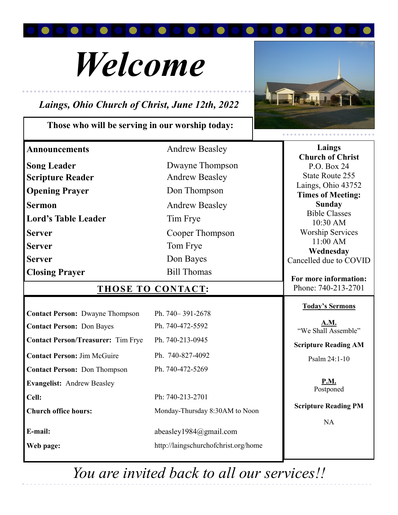

# *Welcome*

## *Laings, Ohio Church of Christ, June 12th, 2022*

### **Those who will be serving in our worship today:**



| <b>Announcements</b>                      | <b>Andrew Beasley</b>                | Laings                                 |
|-------------------------------------------|--------------------------------------|----------------------------------------|
| <b>Song Leader</b>                        | Dwayne Thompson                      | <b>Church of Christ</b><br>P.O. Box 24 |
| <b>Scripture Reader</b>                   | <b>Andrew Beasley</b>                | <b>State Route 255</b>                 |
| <b>Opening Prayer</b>                     | Don Thompson                         | Laings, Ohio 43752                     |
|                                           |                                      | <b>Times of Meeting:</b>               |
| <b>Sermon</b>                             | <b>Andrew Beasley</b>                | <b>Sunday</b><br><b>Bible Classes</b>  |
| <b>Lord's Table Leader</b>                | Tim Frye                             | 10:30 AM                               |
| <b>Server</b>                             | Cooper Thompson                      | <b>Worship Services</b>                |
| <b>Server</b>                             | Tom Frye                             | 11:00 AM                               |
| <b>Server</b>                             | Don Bayes                            | Wednesday                              |
|                                           |                                      | Cancelled due to COVID                 |
| <b>Closing Prayer</b>                     | <b>Bill Thomas</b>                   | For more information:                  |
| <b>THOSE TO CONTACT:</b>                  |                                      | Phone: 740-213-2701                    |
|                                           |                                      | <b>Today's Sermons</b>                 |
| <b>Contact Person: Dwayne Thompson</b>    | Ph. 740-391-2678                     |                                        |
| <b>Contact Person: Don Bayes</b>          | Ph. 740-472-5592                     | <b>A.M.</b>                            |
|                                           |                                      |                                        |
|                                           |                                      | "We Shall Assemble"                    |
| <b>Contact Person/Treasurer:</b> Tim Frye | Ph. 740-213-0945                     | <b>Scripture Reading AM</b>            |
| <b>Contact Person: Jim McGuire</b>        | Ph. 740-827-4092                     | Psalm 24:1-10                          |
| <b>Contact Person: Don Thompson</b>       | Ph. 740-472-5269                     |                                        |
| <b>Evangelist: Andrew Beasley</b>         |                                      | <b>P.M.</b>                            |
|                                           |                                      | Postponed                              |
| Cell:                                     | Ph: 740-213-2701                     | <b>Scripture Reading PM</b>            |
| <b>Church office hours:</b>               | Monday-Thursday 8:30AM to Noon       |                                        |
|                                           |                                      | <b>NA</b>                              |
| E-mail:                                   | abeasley1984@gmail.com               |                                        |
| Web page:                                 | http://laingschurchofchrist.org/home |                                        |

*You are invited back to all our services!!*